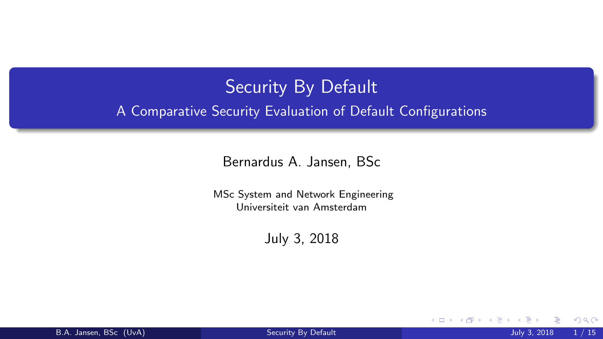# <span id="page-0-0"></span>Security By Default A Comparative Security Evaluation of Default Configurations

Bernardus A. Jansen, BSc

MSc System and Network Engineering Universiteit van Amsterdam

July 3, 2018

4 D F

 $\Omega$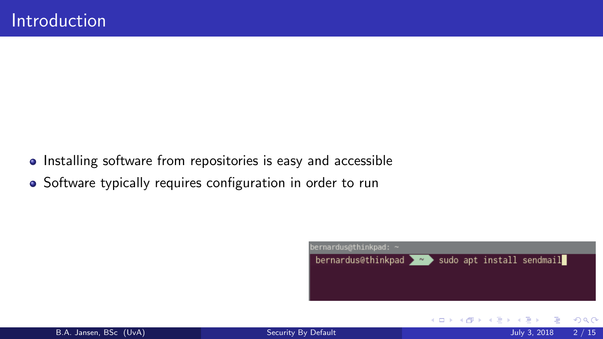- Installing software from repositories is easy and accessible
- Software typically requires configuration in order to run

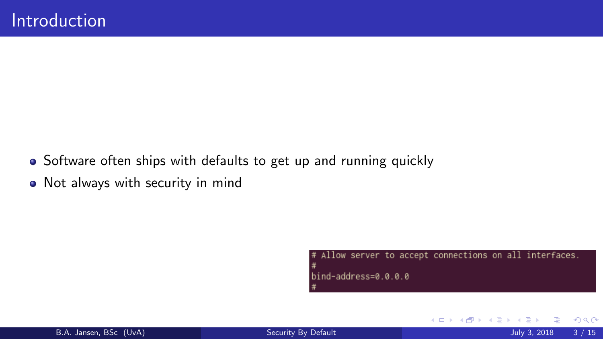- Software often ships with defaults to get up and running quickly
- Not always with security in mind

Allow server to accept connections on all interfaces.  $bind$ -address=0.0.0.0

4 D F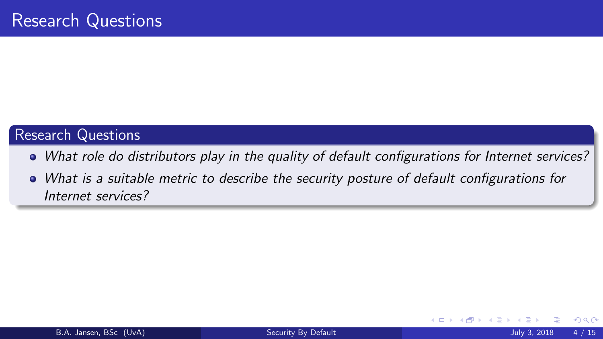### Research Questions

- What role do distributors play in the quality of default configurations for Internet services?
- What is a suitable metric to describe the security posture of default configurations for Internet services?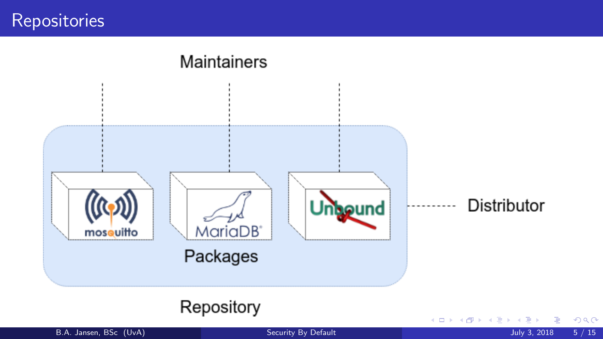**Repositories** 



### Repository

B.A. Jansen, BSc (UvA) [Security By Default](#page-0-0) July 3, 2018 5 / 15

造

**D** 

 $299$ 

メロトメ 御 トメ 君 トメ 君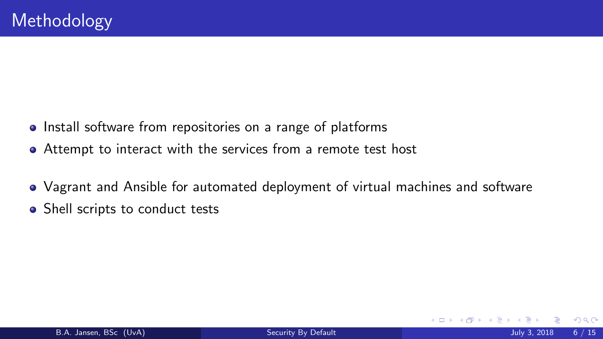- Install software from repositories on a range of platforms
- Attempt to interact with the services from a remote test host
- Vagrant and Ansible for automated deployment of virtual machines and software
- Shell scripts to conduct tests

 $\Omega$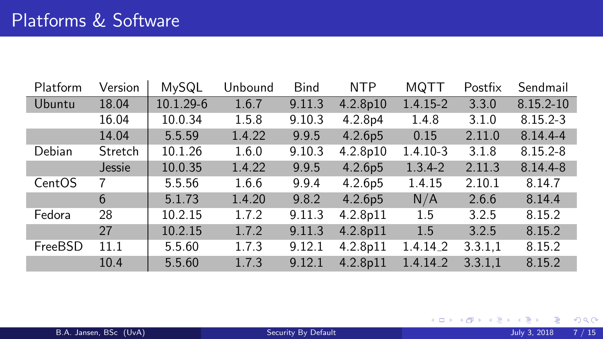| Platform | Version | MySQL     | Unbound | <b>Bind</b> | <b>NTP</b> | <b>MQTT</b>  | Postfix | Sendmail      |
|----------|---------|-----------|---------|-------------|------------|--------------|---------|---------------|
| Ubuntu   | 18.04   | 10.1.29-6 | 1.6.7   | 9.11.3      | 4.2.8p10   | $1.4.15 - 2$ | 3.3.0   | $8.15.2 - 10$ |
|          | 16.04   | 10.0.34   | 1.5.8   | 9.10.3      | 4.2.8p4    | 1.4.8        | 3.1.0   | $8.15.2 - 3$  |
|          | 14.04   | 5.5.59    | 1.4.22  | 9.9.5       | 4.2.6p5    | 0.15         | 2.11.0  | $8.14.4 - 4$  |
| Debian   | Stretch | 10.1.26   | 1.6.0   | 9.10.3      | 4.2.8p10   | $1.4.10 - 3$ | 3.1.8   | $8.15.2 - 8$  |
|          | Jessie  | 10.0.35   | 1.4.22  | 9.9.5       | 4.2.6p5    | $1.3.4 - 2$  | 2.11.3  | 8.14.4-8      |
| CentOS   | 7       | 5.5.56    | 1.6.6   | 9.9.4       | 4.2.6p5    | 1.4.15       | 2.10.1  | 8.14.7        |
|          | 6       | 5.1.73    | 1.4.20  | 9.8.2       | 4.2.6p5    | N/A          | 2.6.6   | 8.14.4        |
| Fedora   | 28      | 10.2.15   | 1.7.2   | 9.11.3      | 4.2.8p11   | 1.5          | 3.2.5   | 8.15.2        |
|          | 27      | 10.2.15   | 1.7.2   | 9.11.3      | 4.2.8p11   | 1.5          | 3.2.5   | 8.15.2        |
| FreeBSD  | 11.1    | 5.5.60    | 1.7.3   | 9.12.1      | 4.2.8p11   | $1.4.14 - 2$ | 3.3.1,1 | 8.15.2        |
|          | 10.4    | 5.5.60    | 1.7.3   | 9.12.1      | 4.2.8p11   | 1.4.14.2     | 3.3.1.1 | 8.15.2        |

**D** 

メロトメ 御 トメ 君 トメ 君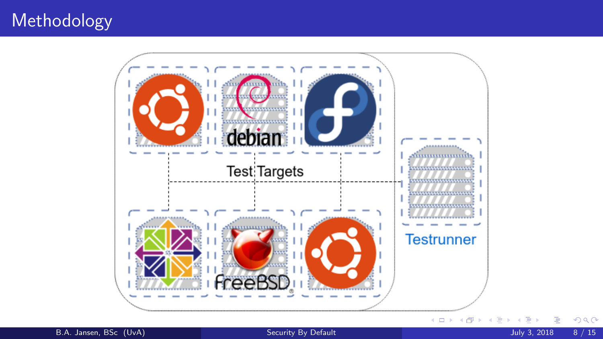# Methodology



B.A. Jansen, BSc (UvA) [Security By Default](#page-0-0) Security By Default July 3, 2018 8 / 15

э

 $299$ 

B

 $\prec$ **D**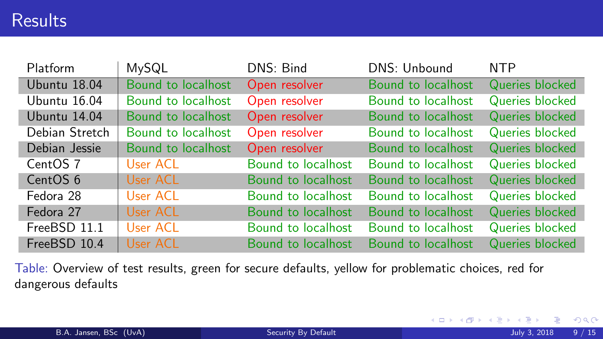### **Results**

| Platform       | MySQL              | DNS: Bind          | DNS: Unbound       | <b>NTP</b>      |
|----------------|--------------------|--------------------|--------------------|-----------------|
| Ubuntu 18.04   | Bound to localhost | Open resolver      | Bound to localhost | Queries blocked |
| Ubuntu 16.04   | Bound to localhost | Open resolver      | Bound to localhost | Queries blocked |
| Ubuntu 14.04   | Bound to localhost | Open resolver      | Bound to localhost | Queries blocked |
| Debian Stretch | Bound to localhost | Open resolver      | Bound to localhost | Queries blocked |
| Debian Jessie  | Bound to localhost | Open resolver      | Bound to localhost | Queries blocked |
| CentOS 7       | User ACL           | Bound to localhost | Bound to localhost | Queries blocked |
| CentOS 6       | User ACL           | Bound to localhost | Bound to localhost | Queries blocked |
| Fedora 28      | User ACL           | Bound to localhost | Bound to localhost | Queries blocked |
| Fedora 27      | User ACL           | Bound to localhost | Bound to localhost | Queries blocked |
| FreeBSD 11.1   | User ACL           | Bound to localhost | Bound to localhost | Queries blocked |
| FreeBSD 10.4   | User ACL           | Bound to localhost | Bound to localhost | Queries blocked |

Table: Overview of test results, green for secure defaults, yellow for problematic choices, red for dangerous defaults

 $299$ 

**K ロ ▶ K 御 ▶ K 舌**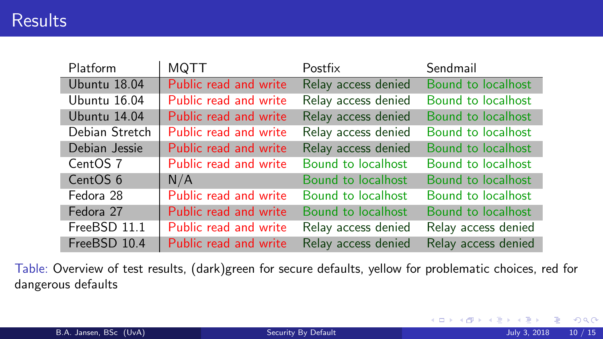| Platform            | MQTT                  | Postfix             | Sendmail            |
|---------------------|-----------------------|---------------------|---------------------|
| Ubuntu 18.04        | Public read and write | Relay access denied | Bound to localhost  |
| Ubuntu 16.04        | Public read and write | Relay access denied | Bound to localhost  |
| Ubuntu 14.04        | Public read and write | Relay access denied | Bound to localhost  |
| Debian Stretch      | Public read and write | Relay access denied | Bound to localhost  |
| Debian Jessie       | Public read and write | Relay access denied | Bound to localhost  |
| CentOS 7            | Public read and write | Bound to localhost  | Bound to localhost  |
| CentOS <sub>6</sub> | N/A                   | Bound to localhost  | Bound to localhost  |
| Fedora 28           | Public read and write | Bound to localhost  | Bound to localhost  |
| Fedora 27           | Public read and write | Bound to localhost  | Bound to localhost  |
| FreeBSD 11.1        | Public read and write | Relay access denied | Relay access denied |
| FreeBSD 10.4        | Public read and write | Relay access denied | Relay access denied |

Table: Overview of test results, (dark)green for secure defaults, yellow for problematic choices, red for dangerous defaults

∍

 $2990$ 

**K ロ ▶ K 御 ▶ K 君**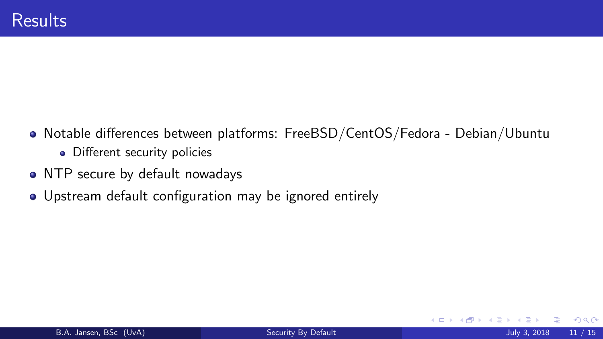- Notable differences between platforms: FreeBSD/CentOS/Fedora Debian/Ubuntu
	- Different security policies
- NTP secure by default nowadays
- Upstream default configuration may be ignored entirely

4 D F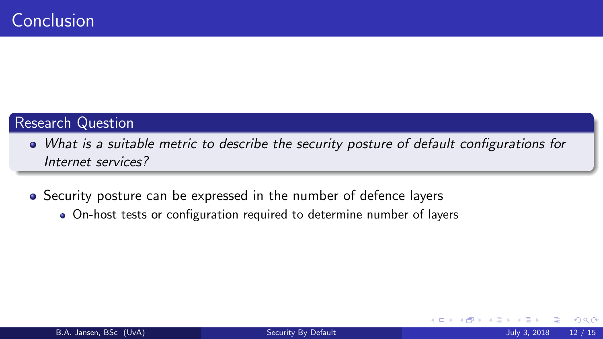### Research Question

- What is a suitable metric to describe the security posture of default configurations for Internet services?
- Security posture can be expressed in the number of defence layers
	- On-host tests or configuration required to determine number of layers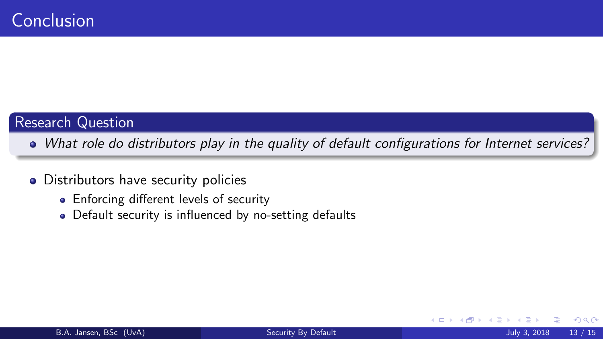#### Research Question

- What role do distributors play in the quality of default configurations for Internet services?
- Distributors have security policies
	- Enforcing different levels of security
	- Default security is influenced by no-setting defaults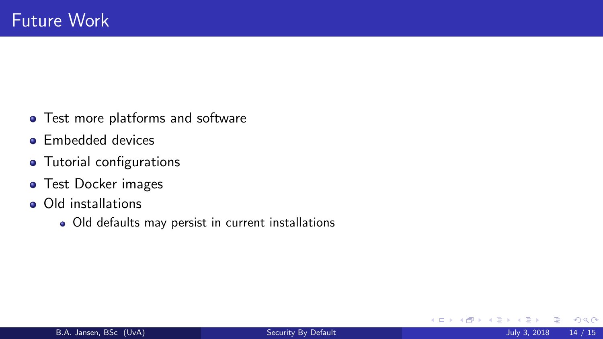- Test more platforms and software
- **•** Embedded devices
- Tutorial configurations
- **o** Test Docker images
- Old installations
	- Old defaults may persist in current installations

4 D F